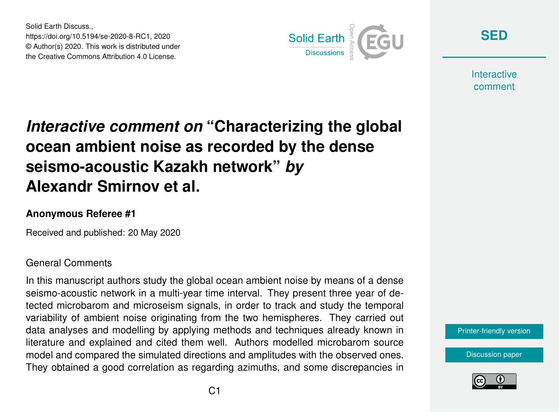Solid Earth Discuss., https://doi.org/10.5194/se-2020-8-RC1, 2020 © Author(s) 2020. This work is distributed under the Creative Commons Attribution 4.0 License.



**[SED](https://www.solid-earth-discuss.net/)**

**Interactive** comment

# *Interactive comment on* **"Characterizing the global ocean ambient noise as recorded by the dense seismo-acoustic Kazakh network"** *by* **Alexandr Smirnov et al.**

## **Anonymous Referee #1**

Received and published: 20 May 2020

### General Comments

In this manuscript authors study the global ocean ambient noise by means of a dense seismo-acoustic network in a multi-year time interval. They present three year of detected microbarom and microseism signals, in order to track and study the temporal variability of ambient noise originating from the two hemispheres. They carried out data analyses and modelling by applying methods and techniques already known in literature and explained and cited them well. Authors modelled microbarom source model and compared the simulated directions and amplitudes with the observed ones. They obtained a good correlation as regarding azimuths, and some discrepancies in

#### [Printer-friendly version](https://www.solid-earth-discuss.net/se-2020-8/se-2020-8-RC1-print.pdf)

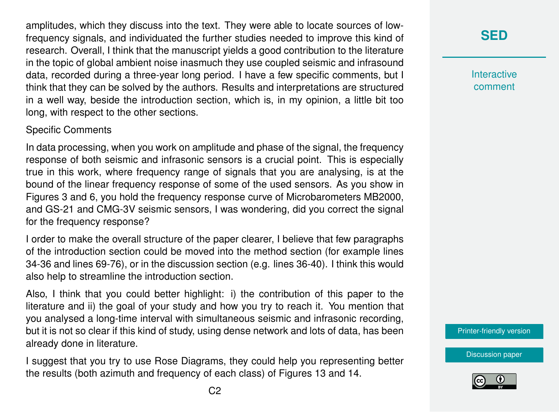amplitudes, which they discuss into the text. They were able to locate sources of lowfrequency signals, and individuated the further studies needed to improve this kind of research. Overall, I think that the manuscript yields a good contribution to the literature in the topic of global ambient noise inasmuch they use coupled seismic and infrasound data, recorded during a three-year long period. I have a few specific comments, but I think that they can be solved by the authors. Results and interpretations are structured in a well way, beside the introduction section, which is, in my opinion, a little bit too long, with respect to the other sections.

### Specific Comments

In data processing, when you work on amplitude and phase of the signal, the frequency response of both seismic and infrasonic sensors is a crucial point. This is especially true in this work, where frequency range of signals that you are analysing, is at the bound of the linear frequency response of some of the used sensors. As you show in Figures 3 and 6, you hold the frequency response curve of Microbarometers MB2000, and GS-21 and CMG-3V seismic sensors, I was wondering, did you correct the signal for the frequency response?

I order to make the overall structure of the paper clearer, I believe that few paragraphs of the introduction section could be moved into the method section (for example lines 34-36 and lines 69-76), or in the discussion section (e.g. lines 36-40). I think this would also help to streamline the introduction section.

Also, I think that you could better highlight: i) the contribution of this paper to the literature and ii) the goal of your study and how you try to reach it. You mention that you analysed a long-time interval with simultaneous seismic and infrasonic recording, but it is not so clear if this kind of study, using dense network and lots of data, has been already done in literature.

I suggest that you try to use Rose Diagrams, they could help you representing better the results (both azimuth and frequency of each class) of Figures 13 and 14.

**[SED](https://www.solid-earth-discuss.net/)**

**Interactive** comment

[Printer-friendly version](https://www.solid-earth-discuss.net/se-2020-8/se-2020-8-RC1-print.pdf)

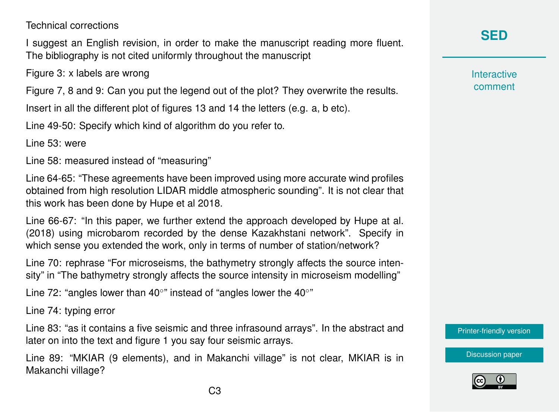Technical corrections

I suggest an English revision, in order to make the manuscript reading more fluent. The bibliography is not cited uniformly throughout the manuscript

Figure 3: x labels are wrong

Figure 7, 8 and 9: Can you put the legend out of the plot? They overwrite the results.

Insert in all the different plot of figures 13 and 14 the letters (e.g. a, b etc).

Line 49-50: Specify which kind of algorithm do you refer to.

Line 53: were

Line 58: measured instead of "measuring"

Line 64-65: "These agreements have been improved using more accurate wind profiles obtained from high resolution LIDAR middle atmospheric sounding". It is not clear that this work has been done by Hupe et al 2018.

Line 66-67: "In this paper, we further extend the approach developed by Hupe at al. (2018) using microbarom recorded by the dense Kazakhstani network". Specify in which sense you extended the work, only in terms of number of station/network?

Line 70: rephrase "For microseisms, the bathymetry strongly affects the source intensity" in "The bathymetry strongly affects the source intensity in microseism modelling"

Line 72: "angles lower than 40 $\circ$ " instead of "angles lower the 40 $\circ$ "

Line 74: typing error

Line 83: "as it contains a five seismic and three infrasound arrays". In the abstract and later on into the text and figure 1 you say four seismic arrays.

Line 89: "MKIAR (9 elements), and in Makanchi village" is not clear, MKIAR is in Makanchi village?

## **[SED](https://www.solid-earth-discuss.net/)**

**Interactive** comment

[Printer-friendly version](https://www.solid-earth-discuss.net/se-2020-8/se-2020-8-RC1-print.pdf)

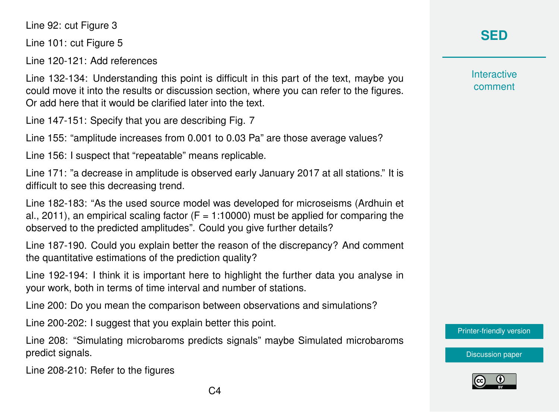Line 92: cut Figure 3

Line 101: cut Figure 5

Line 120-121: Add references

Line 132-134: Understanding this point is difficult in this part of the text, maybe you could move it into the results or discussion section, where you can refer to the figures. Or add here that it would be clarified later into the text.

Line 147-151: Specify that you are describing Fig. 7

Line 155: "amplitude increases from 0.001 to 0.03 Pa" are those average values?

Line 156: I suspect that "repeatable" means replicable.

Line 171: "a decrease in amplitude is observed early January 2017 at all stations." It is difficult to see this decreasing trend.

Line 182-183: "As the used source model was developed for microseisms (Ardhuin et al., 2011), an empirical scaling factor ( $F = 1:10000$ ) must be applied for comparing the observed to the predicted amplitudes". Could you give further details?

Line 187-190. Could you explain better the reason of the discrepancy? And comment the quantitative estimations of the prediction quality?

Line 192-194: I think it is important here to highlight the further data you analyse in your work, both in terms of time interval and number of stations.

Line 200: Do you mean the comparison between observations and simulations?

Line 200-202: I suggest that you explain better this point.

Line 208: "Simulating microbaroms predicts signals" maybe Simulated microbaroms predict signals.

Line 208-210: Refer to the figures

## **[SED](https://www.solid-earth-discuss.net/)**

**Interactive** comment

[Printer-friendly version](https://www.solid-earth-discuss.net/se-2020-8/se-2020-8-RC1-print.pdf)